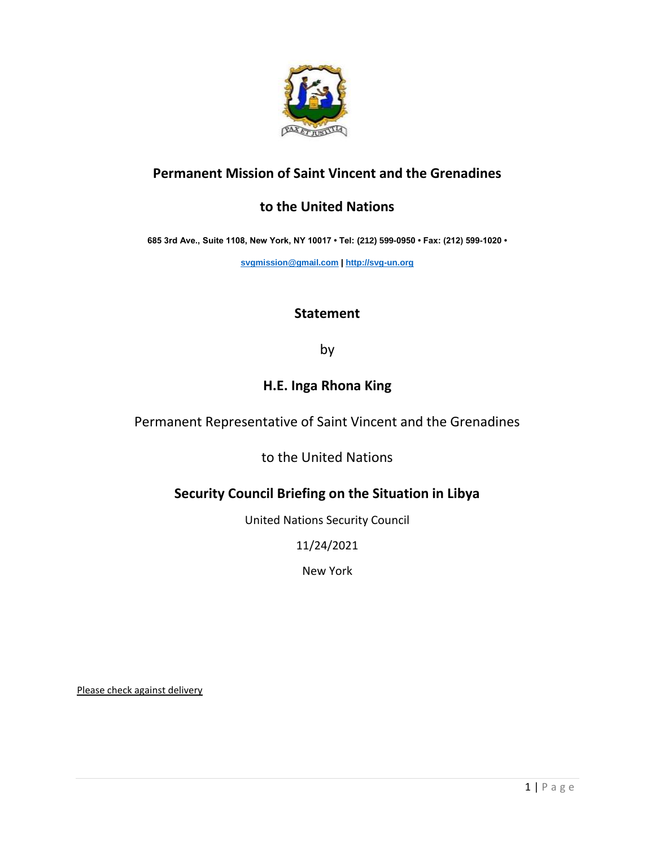

# **Permanent Mission of Saint Vincent and the Grenadines**

## **to the United Nations**

**685 3rd Ave., Suite 1108, New York, NY 10017 • Tel: (212) 599-0950 • Fax: (212) 599-1020 •** 

**[svgmission@gmail.com](mailto:svgmission@gmail.com) [| http://svg-un.org](http://svg-un.org/)**

### **Statement**

by

## **H.E. Inga Rhona King**

Permanent Representative of Saint Vincent and the Grenadines

to the United Nations

## **Security Council Briefing on the Situation in Libya**

United Nations Security Council

11/24/2021

New York

Please check against delivery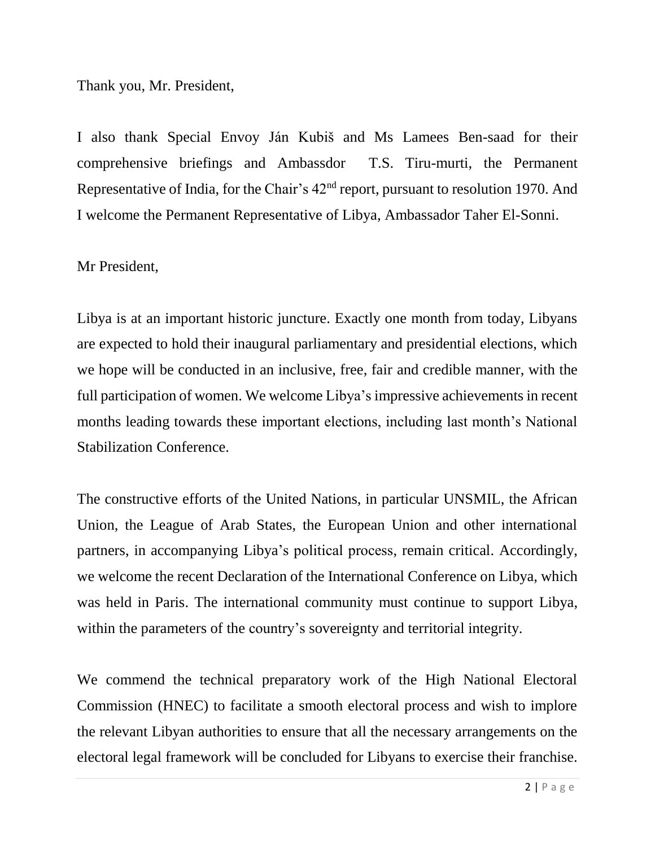Thank you, Mr. President,

I also thank Special Envoy Ján Kubiš and Ms Lamees Ben-saad for their comprehensive briefings and Ambassdor T.S. Tiru-murti, the Permanent Representative of India, for the Chair's  $42<sup>nd</sup>$  report, pursuant to resolution 1970. And I welcome the Permanent Representative of Libya, Ambassador Taher El-Sonni.

## Mr President,

Libya is at an important historic juncture. Exactly one month from today, Libyans are expected to hold their inaugural parliamentary and presidential elections, which we hope will be conducted in an inclusive, free, fair and credible manner, with the full participation of women. We welcome Libya's impressive achievements in recent months leading towards these important elections, including last month's National Stabilization Conference.

The constructive efforts of the United Nations, in particular UNSMIL, the African Union, the League of Arab States, the European Union and other international partners, in accompanying Libya's political process, remain critical. Accordingly, we welcome the recent Declaration of the International Conference on Libya, which was held in Paris. The international community must continue to support Libya, within the parameters of the country's sovereignty and territorial integrity.

We commend the technical preparatory work of the High National Electoral Commission (HNEC) to facilitate a smooth electoral process and wish to implore the relevant Libyan authorities to ensure that all the necessary arrangements on the electoral legal framework will be concluded for Libyans to exercise their franchise.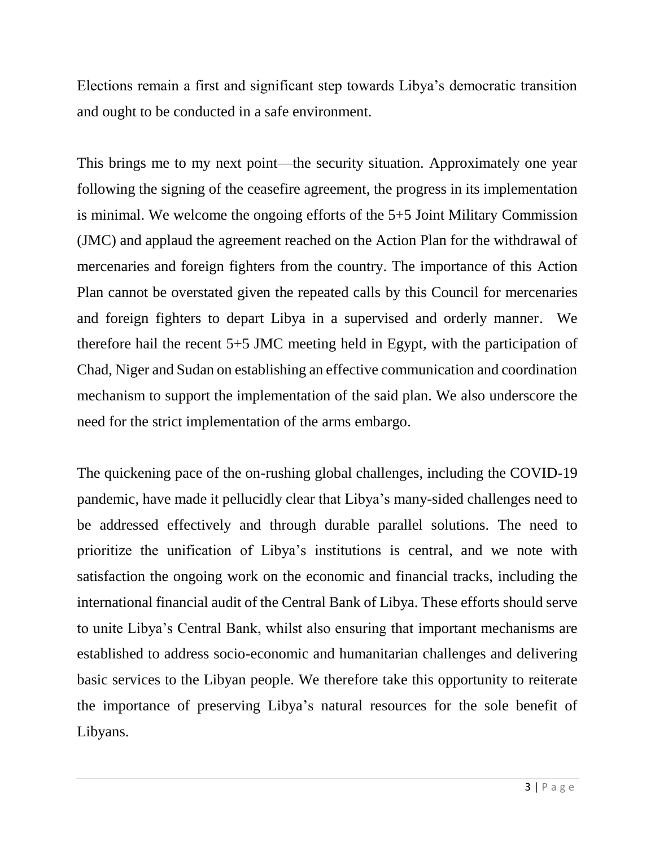Elections remain a first and significant step towards Libya's democratic transition and ought to be conducted in a safe environment.

This brings me to my next point—the security situation. Approximately one year following the signing of the ceasefire agreement, the progress in its implementation is minimal. We welcome the ongoing efforts of the 5+5 Joint Military Commission (JMC) and applaud the agreement reached on the Action Plan for the withdrawal of mercenaries and foreign fighters from the country. The importance of this Action Plan cannot be overstated given the repeated calls by this Council for mercenaries and foreign fighters to depart Libya in a supervised and orderly manner. We therefore hail the recent 5+5 JMC meeting held in Egypt, with the participation of Chad, Niger and Sudan on establishing an effective communication and coordination mechanism to support the implementation of the said plan. We also underscore the need for the strict implementation of the arms embargo.

The quickening pace of the on-rushing global challenges, including the COVID-19 pandemic, have made it pellucidly clear that Libya's many-sided challenges need to be addressed effectively and through durable parallel solutions. The need to prioritize the unification of Libya's institutions is central, and we note with satisfaction the ongoing work on the economic and financial tracks, including the international financial audit of the Central Bank of Libya. These efforts should serve to unite Libya's Central Bank, whilst also ensuring that important mechanisms are established to address socio-economic and humanitarian challenges and delivering basic services to the Libyan people. We therefore take this opportunity to reiterate the importance of preserving Libya's natural resources for the sole benefit of Libyans.